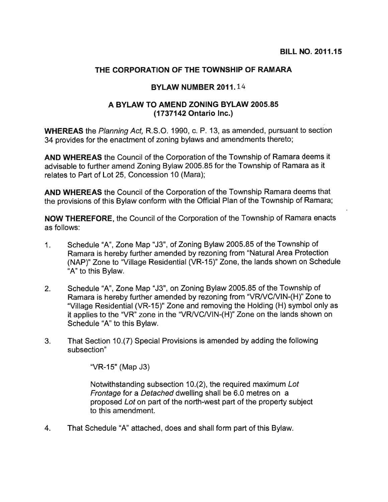## THE CORPORATION OF THE TOWNSHIP OF RAMARA

## BYLAW NUMBER 2011.14

## A BYLAW TO AMEND ZONING BYLAW 2005.85 (1737142 Ontario Inc.)

WHEREAS the Planning Act, R.S.O. 1990, c. P. 13, as amended, pursuan<sup>t</sup> to section <sup>34</sup> provides for the enactment of zoning bylaws and amendments thereto;

AND WHEREAS the Council of the Corporation of the Township of Ramara deems it advisable to further amend Zoning Bylaw 2005.85 for the Township of Ramara as it relates to Part of Lot 25, Concession 10 (Mara);

AND WHEREAS the Council of the Corporation of the Township Ramara deems that the provisions of this Bylaw conform with the Official Plan of the Township of Ramara;

NOW THEREFORE, the Council of the Corporation of the Township of Ramara enacts as follows:

- 1. Schedule 'A", Zone Map "J3", of Zoning Bylaw 2005.85 of the Township of Ramara is hereby further amended by rezoning from "Natural Area Protection (NAP)" Zone to "Village Residential (VR-15)" Zone, the lands shown on Schedule "A" to this Bylaw.
- 2. Schedule "A", Zone Map "J3", on Zoning Bylaw 2005.85 of the Township of Ramara is hereby further amended by rezoning from "VR/VC/VIN-(H)" Zone to "Village Residential (VR-15)" Zone and removing the Holding (H) symbol only as it applies to the "VR" zone in the "VR/VC/VIN-(H)" Zone on the lands shown on Schedule "A" to this Bylaw.
- 3. That Section 10.(7) Special Provisions is amended by adding the following subsection"

"VR-15" (Map J3)

Notwithstanding subsection 10.(2), the required maximum Lot Frontage for <sup>a</sup> Detached dwelling shall be 6.0 metres on <sup>a</sup> proposed Lot on par<sup>t</sup> of the north-west par<sup>t</sup> of the property subject to this amendment.

4. That Schedule "A" attached, does and shall form par<sup>t</sup> of this Bylaw.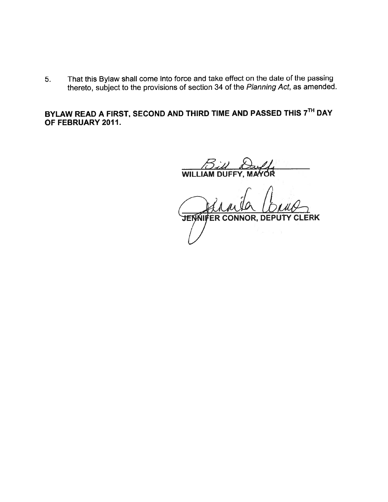5. That this Bylaw shall come into force and take effect on the date of the passing thereto, subject to the provisions of section <sup>34</sup> of the Planning Act, as amended.

BYLAW READ A FIRST, SECOND AND THIRD TIME AND PASSED THIS 7TH DAY OF FEBRUARY 2011.

Bill Duff WILLIAM DUFFY, MAYOR

JENNIFER CONNOR, DEPUTY CLERK